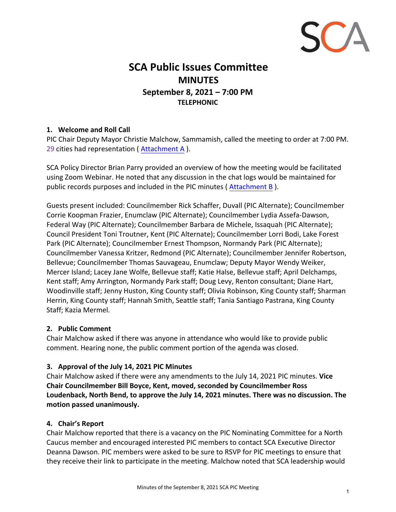

# **SCA Public Issues Committee MINUTES September 8, 2021 – 7:00 PM TELEPHONIC**

# **1. Welcome and Roll Call**

PIC Chair Deputy Mayor Christie Malchow, Sammamish, called the meeting to order at 7:00 PM. 29 cities had representation ( Attachment A ).

SCA Policy Director Brian Parry provided an overview of how the meeting would be facilitated using Zoom Webinar. He noted that any discussion in the chat logs would be maintained for public records purposes and included in the PIC minutes ( Attachment B ).

Guests present included: Councilmember Rick Schaffer, Duvall (PIC Alternate); Councilmember Corrie Koopman Frazier, Enumclaw (PIC Alternate); Councilmember Lydia Assefa-Dawson, Federal Way (PIC Alternate); Councilmember Barbara de Michele, Issaquah (PIC Alternate); Council President Toni Troutner, Kent (PIC Alternate); Councilmember Lorri Bodi, Lake Forest Park (PIC Alternate); Councilmember Ernest Thompson, Normandy Park (PIC Alternate); Councilmember Vanessa Kritzer, Redmond (PIC Alternate); Councilmember Jennifer Robertson, Bellevue; Councilmember Thomas Sauvageau, Enumclaw; Deputy Mayor Wendy Weiker, Mercer Island; Lacey Jane Wolfe, Bellevue staff; Katie Halse, Bellevue staff; April Delchamps, Kent staff; Amy Arrington, Normandy Park staff; Doug Levy, Renton consultant; Diane Hart, Woodinville staff; Jenny Huston, King County staff; Olivia Robinson, King County staff; Sharman Herrin, King County staff; Hannah Smith, Seattle staff; Tania Santiago Pastrana, King County Staff; Kazia Mermel.

### **2. Public Comment**

Chair Malchow asked if there was anyone in attendance who would like to provide public comment. Hearing none, the public comment portion of the agenda was closed.

### **3. Approval of the July 14, 2021 PIC Minutes**

Chair Malchow asked if there were any amendments to the July 14, 2021 PIC minutes. **Vice Chair Councilmember Bill Boyce, Kent, moved, seconded by Councilmember Ross Loudenback, North Bend, to approve the July 14, 2021 minutes. There was no discussion. The motion passed unanimously.**

### **4. Chair's Report**

Chair Malchow reported that there is a vacancy on the PIC Nominating Committee for a North Caucus member and encouraged interested PIC members to contact SCA Executive Director Deanna Dawson. PIC members were asked to be sure to RSVP for PIC meetings to ensure that they receive their link to participate in the meeting. Malchow noted that SCA leadership would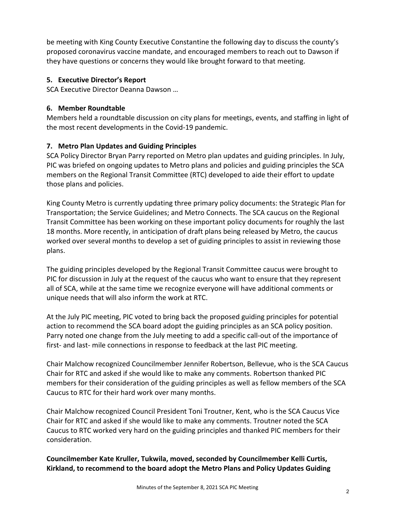be meeting with King County Executive Constantine the following day to discuss the county's proposed coronavirus vaccine mandate, and encouraged members to reach out to Dawson if they have questions or concerns they would like brought forward to that meeting.

# **5. Executive Director's Report**

SCA Executive Director Deanna Dawson …

# **6. Member Roundtable**

Members held a roundtable discussion on city plans for meetings, events, and staffing in light of the most recent developments in the Covid-19 pandemic.

# **7. Metro Plan Updates and Guiding Principles**

SCA Policy Director Bryan Parry reported on Metro plan updates and guiding principles. In July, PIC was briefed on ongoing updates to Metro plans and policies and guiding principles the SCA members on the Regional Transit Committee (RTC) developed to aide their effort to update those plans and policies.

King County Metro is currently updating three primary policy documents: the Strategic Plan for Transportation; the Service Guidelines; and Metro Connects. The SCA caucus on the Regional Transit Committee has been working on these important policy documents for roughly the last 18 months. More recently, in anticipation of draft plans being released by Metro, the caucus worked over several months to develop a set of guiding principles to assist in reviewing those plans.

The guiding principles developed by the Regional Transit Committee caucus were brought to PIC for discussion in July at the request of the caucus who want to ensure that they represent all of SCA, while at the same time we recognize everyone will have additional comments or unique needs that will also inform the work at RTC.

At the July PIC meeting, PIC voted to bring back the proposed guiding principles for potential action to recommend the SCA board adopt the guiding principles as an SCA policy position. Parry noted one change from the July meeting to add a specific call-out of the importance of first- and last- mile connections in response to feedback at the last PIC meeting.

Chair Malchow recognized Councilmember Jennifer Robertson, Bellevue, who is the SCA Caucus Chair for RTC and asked if she would like to make any comments. Robertson thanked PIC members for their consideration of the guiding principles as well as fellow members of the SCA Caucus to RTC for their hard work over many months.

Chair Malchow recognized Council President Toni Troutner, Kent, who is the SCA Caucus Vice Chair for RTC and asked if she would like to make any comments. Troutner noted the SCA Caucus to RTC worked very hard on the guiding principles and thanked PIC members for their consideration.

**Councilmember Kate Kruller, Tukwila, moved, seconded by Councilmember Kelli Curtis, Kirkland, to recommend to the board adopt the Metro Plans and Policy Updates Guiding**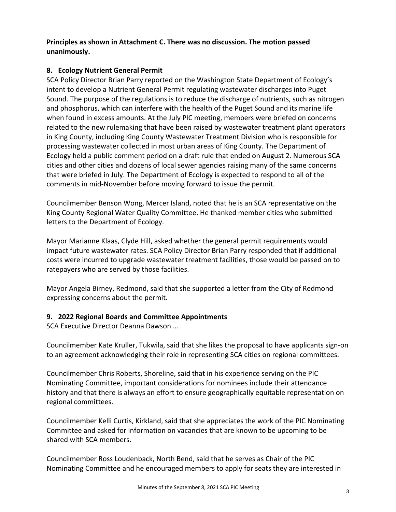# **Principles as shown in Attachment C. There was no discussion. The motion passed unanimously.**

### **8. Ecology Nutrient General Permit**

SCA Policy Director Brian Parry reported on the Washington State Department of Ecology's intent to develop a Nutrient General Permit regulating wastewater discharges into Puget Sound. The purpose of the regulations is to reduce the discharge of nutrients, such as nitrogen and phosphorus, which can interfere with the health of the Puget Sound and its marine life when found in excess amounts. At the July PIC meeting, members were briefed on concerns related to the new rulemaking that have been raised by wastewater treatment plant operators in King County, including King County Wastewater Treatment Division who is responsible for processing wastewater collected in most urban areas of King County. The Department of Ecology held a public comment period on a draft rule that ended on August 2. Numerous SCA cities and other cities and dozens of local sewer agencies raising many of the same concerns that were briefed in July. The Department of Ecology is expected to respond to all of the comments in mid-November before moving forward to issue the permit.

Councilmember Benson Wong, Mercer Island, noted that he is an SCA representative on the King County Regional Water Quality Committee. He thanked member cities who submitted letters to the Department of Ecology.

Mayor Marianne Klaas, Clyde Hill, asked whether the general permit requirements would impact future wastewater rates. SCA Policy Director Brian Parry responded that if additional costs were incurred to upgrade wastewater treatment facilities, those would be passed on to ratepayers who are served by those facilities.

Mayor Angela Birney, Redmond, said that she supported a letter from the City of Redmond expressing concerns about the permit.

### **9. 2022 Regional Boards and Committee Appointments**

SCA Executive Director Deanna Dawson …

Councilmember Kate Kruller, Tukwila, said that she likes the proposal to have applicants sign-on to an agreement acknowledging their role in representing SCA cities on regional committees.

Councilmember Chris Roberts, Shoreline, said that in his experience serving on the PIC Nominating Committee, important considerations for nominees include their attendance history and that there is always an effort to ensure geographically equitable representation on regional committees.

Councilmember Kelli Curtis, Kirkland, said that she appreciates the work of the PIC Nominating Committee and asked for information on vacancies that are known to be upcoming to be shared with SCA members.

Councilmember Ross Loudenback, North Bend, said that he serves as Chair of the PIC Nominating Committee and he encouraged members to apply for seats they are interested in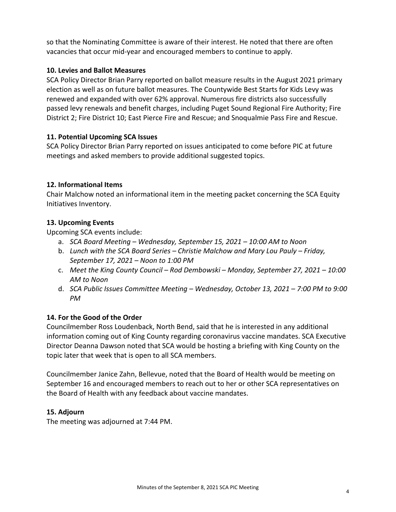so that the Nominating Committee is aware of their interest. He noted that there are often vacancies that occur mid-year and encouraged members to continue to apply.

### **10. Levies and Ballot Measures**

SCA Policy Director Brian Parry reported on ballot measure results in the August 2021 primary election as well as on future ballot measures. The Countywide Best Starts for Kids Levy was renewed and expanded with over 62% approval. Numerous fire districts also successfully passed levy renewals and benefit charges, including Puget Sound Regional Fire Authority; Fire District 2; Fire District 10; East Pierce Fire and Rescue; and Snoqualmie Pass Fire and Rescue.

# **11. Potential Upcoming SCA Issues**

SCA Policy Director Brian Parry reported on issues anticipated to come before PIC at future meetings and asked members to provide additional suggested topics.

# **12. Informational Items**

Chair Malchow noted an informational item in the meeting packet concerning the SCA Equity Initiatives Inventory.

# **13. Upcoming Events**

Upcoming SCA events include:

- a. *SCA Board Meeting Wednesday, September 15, 2021 10:00 AM to Noon*
- b. *Lunch with the SCA Board Series Christie Malchow and Mary Lou Pauly Friday, September 17, 2021 – Noon to 1:00 PM*
- c. *Meet the King County Council Rod Dembowski Monday, September 27, 2021 10:00 AM to Noon*
- d. *SCA Public Issues Committee Meeting Wednesday, October 13, 2021 7:00 PM to 9:00 PM*

### **14. For the Good of the Order**

Councilmember Ross Loudenback, North Bend, said that he is interested in any additional information coming out of King County regarding coronavirus vaccine mandates. SCA Executive Director Deanna Dawson noted that SCA would be hosting a briefing with King County on the topic later that week that is open to all SCA members.

Councilmember Janice Zahn, Bellevue, noted that the Board of Health would be meeting on September 16 and encouraged members to reach out to her or other SCA representatives on the Board of Health with any feedback about vaccine mandates.

### **15. Adjourn**

The meeting was adjourned at 7:44 PM.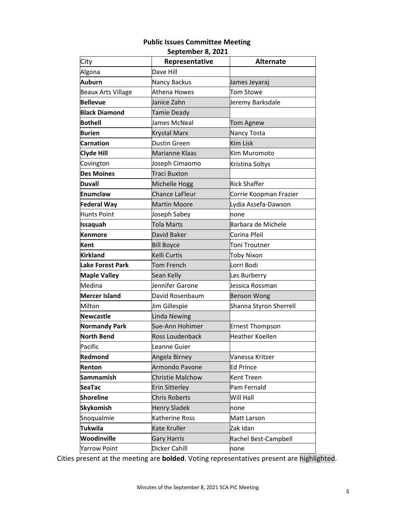#### **Public Issues Committee Meeting September 8, 2021**

| Jeptember o, zuzz         |                         |                        |
|---------------------------|-------------------------|------------------------|
| City                      | Representative          | <b>Alternate</b>       |
| Algona                    | Dave Hill               |                        |
| Auburn                    | Nancy Backus            | James Jeyaraj          |
| <b>Beaux Arts Village</b> | Athena Howes            | <b>Tom Stowe</b>       |
| <b>Bellevue</b>           | Janice Zahn             | Jeremy Barksdale       |
| <b>Black Diamond</b>      | Tamie Deady             |                        |
| <b>Bothell</b>            | James McNeal            | Tom Agnew              |
| <b>Burien</b>             | <b>Krystal Marx</b>     | Nancy Tosta            |
| <b>Carnation</b>          | <b>Dustin Green</b>     | <b>Kim Lisk</b>        |
| <b>Clyde Hill</b>         | Marianne Klaas          | Kim Muromoto           |
| Covington                 | Joseph Cimaomo          | Kristina Soltys        |
| <b>Des Moines</b>         | <b>Traci Buxton</b>     |                        |
| <b>Duvall</b>             | Michelle Hogg           | Rick Shaffer           |
| Enumclaw                  | <b>Chance LaFleur</b>   | Corrie Koopman Frazier |
| <b>Federal Way</b>        | <b>Martin Moore</b>     | Lydia Assefa-Dawson    |
| Hunts Point               | Joseph Sabey            | none                   |
| <b>Issaquah</b>           | <b>Tola Marts</b>       | Barbara de Michele     |
| Kenmore                   | David Baker             | Corina Pfeil           |
| Kent                      | <b>Bill Boyce</b>       | Toni Troutner          |
| Kirkland                  | Kelli Curtis            | <b>Toby Nixon</b>      |
| <b>Lake Forest Park</b>   | <b>Tom French</b>       | Lorri Bodi             |
| <b>Maple Valley</b>       | Sean Kelly              | Les Burberry           |
| Medina                    | Jennifer Garone         | Jessica Rossman        |
| <b>Mercer Island</b>      | David Rosenbaum         | <b>Benson Wong</b>     |
| Milton                    | Jim Gillespie           | Shanna Styron Sherrell |
| Newcastle                 | <b>Linda Newing</b>     |                        |
| <b>Normandy Park</b>      | Sue-Ann Hohimer         | <b>Ernest Thompson</b> |
| <b>North Bend</b>         | Ross Loudenback         | <b>Heather Koellen</b> |
| Pacific                   | Leanne Guier            |                        |
| Redmond                   | Angela Birney           | Vanessa Kritzer        |
| Renton                    | Armondo Pavone          | <b>Ed Prince</b>       |
| <b>Sammamish</b>          | <b>Christie Malchow</b> | Kent Treen             |
| <b>SeaTac</b>             | <b>Erin Sitterley</b>   | Pam Fernald            |
| <b>Shoreline</b>          | <b>Chris Roberts</b>    | Will Hall              |
| <b>Skykomish</b>          | <b>Henry Sladek</b>     | none                   |
| Snoqualmie                | Katherine Ross          | Matt Larson            |
| <b>Tukwila</b>            | Kate Kruller            | Zak Idan               |
| Woodinville               | <b>Gary Harris</b>      | Rachel Best-Campbell   |
| <b>Yarrow Point</b>       | Dicker Cahill           | none                   |

Cities present at the meeting are **bolded**. Voting representatives present are highlighted.